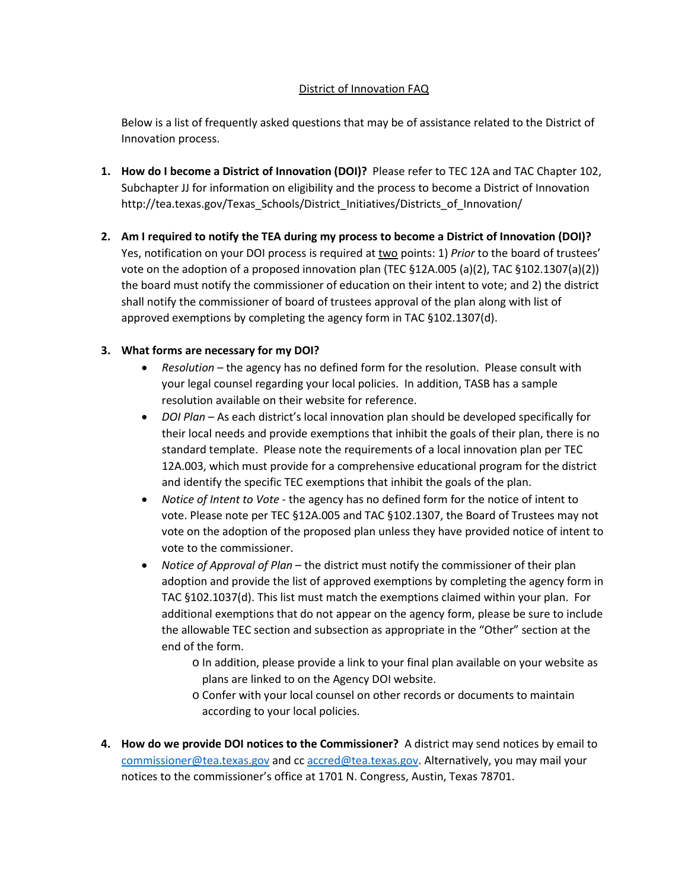## District of Innovation FAQ

Below is a list of frequently asked questions that may be of assistance related to the District of Innovation process.

- **1. How do I become a District of Innovation (DOI)?** Please refer to TEC 12A and TAC Chapter 102, Subchapter JJ for information on eligibility and the process to become a District of Innovation http://tea.texas.gov/Texas\_Schools/District\_Initiatives/Districts\_of\_Innovation/
- **2. Am I required to notify the TEA during my process to become a District of Innovation (DOI)?**  Yes, notification on your DOI process is required at two points: 1) *Prior* to the board of trustees' vote on the adoption of a proposed innovation plan (TEC §12A.005 (a)(2), TAC §102.1307(a)(2)) the board must notify the commissioner of education on their intent to vote; and 2) the district shall notify the commissioner of board of trustees approval of the plan along with list of approved exemptions by completing the agency form in TAC §102.1307(d).

## **3. What forms are necessary for my DOI?**

- *Resolution* the agency has no defined form for the resolution. Please consult with your legal counsel regarding your local policies. In addition, TASB has a sample resolution available on their website for reference.
- *DOI Plan* As each district's local innovation plan should be developed specifically for their local needs and provide exemptions that inhibit the goals of their plan, there is no standard template. Please note the requirements of a local innovation plan per TEC 12A.003, which must provide for a comprehensive educational program for the district and identify the specific TEC exemptions that inhibit the goals of the plan.
- *Notice of Intent to Vote* the agency has no defined form for the notice of intent to vote. Please note per TEC §12A.005 and TAC §102.1307, the Board of Trustees may not vote on the adoption of the proposed plan unless they have provided notice of intent to vote to the commissioner.
- *Notice of Approval of Plan* the district must notify the commissioner of their plan adoption and provide the list of approved exemptions by completing the agency form in TAC §102.1037(d). This list must match the exemptions claimed within your plan. For additional exemptions that do not appear on the agency form, please be sure to include the allowable TEC section and subsection as appropriate in the "Other" section at the end of the form.
	- o In addition, please provide a link to your final plan available on your website as plans are linked to on the Agency DOI website.
	- o Confer with your local counsel on other records or documents to maintain according to your local policies.
- **4. How do we provide DOI notices to the Commissioner?** A district may send notices by email to [commissioner@tea.texas.gov](mailto:commissioner@tea.texas.gov) and c[c accred@tea.texas.gov.](mailto:accred@tea.texas.gov) Alternatively, you may mail your notices to the commissioner's office at 1701 N. Congress, Austin, Texas 78701.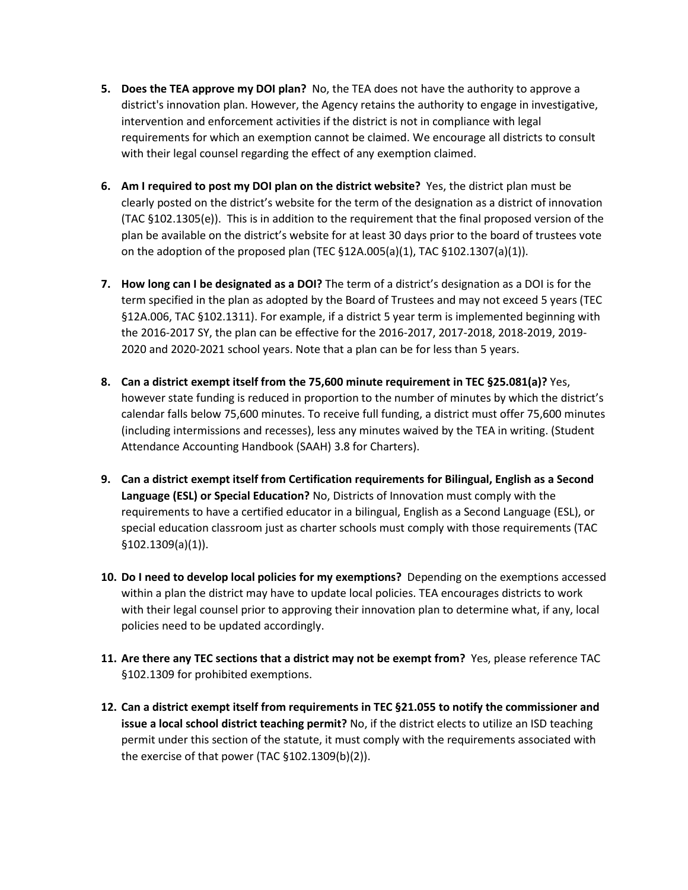- **5. Does the TEA approve my DOI plan?** No, the TEA does not have the authority to approve a district's innovation plan. However, the Agency retains the authority to engage in investigative, intervention and enforcement activities if the district is not in compliance with legal requirements for which an exemption cannot be claimed. We encourage all districts to consult with their legal counsel regarding the effect of any exemption claimed.
- **6. Am I required to post my DOI plan on the district website?** Yes, the district plan must be clearly posted on the district's website for the term of the designation as a district of innovation (TAC §102.1305(e)). This is in addition to the requirement that the final proposed version of the plan be available on the district's website for at least 30 days prior to the board of trustees vote on the adoption of the proposed plan (TEC  $\S 12A.005(a)(1)$ , TAC  $\S 102.1307(a)(1)$ ).
- **7. How long can I be designated as a DOI?** The term of a district's designation as a DOI is for the term specified in the plan as adopted by the Board of Trustees and may not exceed 5 years (TEC §12A.006, TAC §102.1311). For example, if a district 5 year term is implemented beginning with the 2016-2017 SY, the plan can be effective for the 2016-2017, 2017-2018, 2018-2019, 2019- 2020 and 2020-2021 school years. Note that a plan can be for less than 5 years.
- **8. Can a district exempt itself from the 75,600 minute requirement in TEC §25.081(a)?** Yes, however state funding is reduced in proportion to the number of minutes by which the district's calendar falls below 75,600 minutes. To receive full funding, a district must offer 75,600 minutes (including intermissions and recesses), less any minutes waived by the TEA in writing. (Student Attendance Accounting Handbook (SAAH) 3.8 for Charters).
- **9. Can a district exempt itself from Certification requirements for Bilingual, English as a Second Language (ESL) or Special Education?** No, Districts of Innovation must comply with the requirements to have a certified educator in a bilingual, English as a Second Language (ESL), or special education classroom just as charter schools must comply with those requirements (TAC §102.1309(a)(1)).
- **10. Do I need to develop local policies for my exemptions?** Depending on the exemptions accessed within a plan the district may have to update local policies. TEA encourages districts to work with their legal counsel prior to approving their innovation plan to determine what, if any, local policies need to be updated accordingly.
- **11. Are there any TEC sections that a district may not be exempt from?** Yes, please reference TAC §102.1309 for prohibited exemptions.
- **12. Can a district exempt itself from requirements in TEC §21.055 to notify the commissioner and issue a local school district teaching permit?** No, if the district elects to utilize an ISD teaching permit under this section of the statute, it must comply with the requirements associated with the exercise of that power (TAC §102.1309(b)(2)).